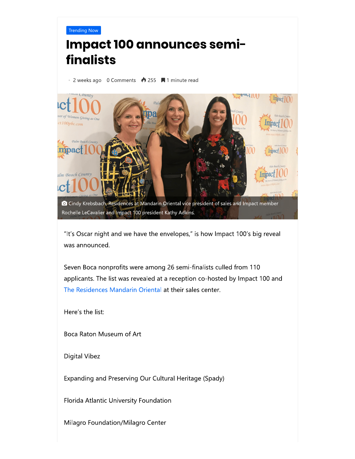

## Impact 100 announces semifinalists

● 2 weeks ago 0 Comments ◆ 255 ■ 1 minute read



O Cindy Krebsbach, Residences at Mandarin Oriental vice president of sales and Impact member Rochelle LeCavalier and Impact 100 president Kathy Adkins.

"It's Oscar night and we have the envelopes," is how Impact 100's big reveal was announced.

Seven Boca nonprofits were among 26 semi-finalists culled from 110 applicants. The list was revealed at a reception co-hosted by Impact 100 and The Residences Mandarin Oriental at their sales center.

Here's the list:

Boca Raton Museum of Art

Digital Vibez

Expanding and Preserving Our Cultural Heritage (Spady)

Florida Atlantic University Foundation

Milagro Foundation/Milagro Center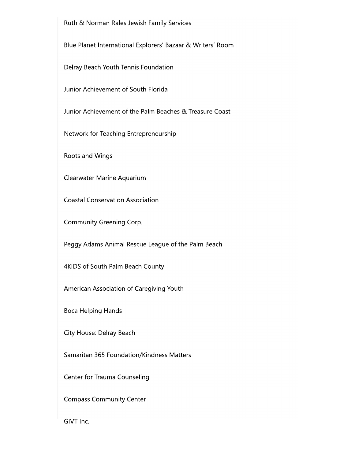Ruth & Norman Rales Jewish Family Services

Blue Planet International Explorers' Bazaar & Writers' Room

Delray Beach Youth Tennis Foundation

Junior Achievement of South Florida

Junior Achievement of the Palm Beaches & Treasure Coast

Network for Teaching Entrepreneurship

Roots and Wings

Clearwater Marine Aquarium

**Coastal Conservation Association** 

Community Greening Corp.

Peggy Adams Animal Rescue League of the Palm Beach

4KIDS of South Palm Beach County

American Association of Caregiving Youth

**Boca Helping Hands** 

City House: Delray Beach

Samaritan 365 Foundation/Kindness Matters

Center for Trauma Counseling

**Compass Community Center** 

GIVT Inc.